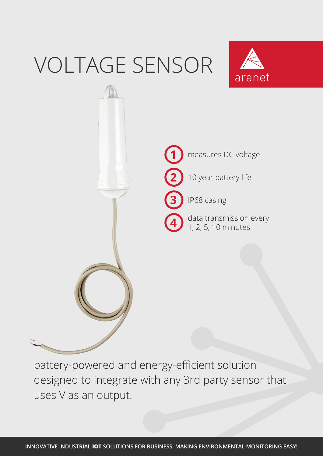## VOLTAGE SENSOR





battery-powered and energy-efficient solution designed to integrate with any 3rd party sensor that uses V as an output.